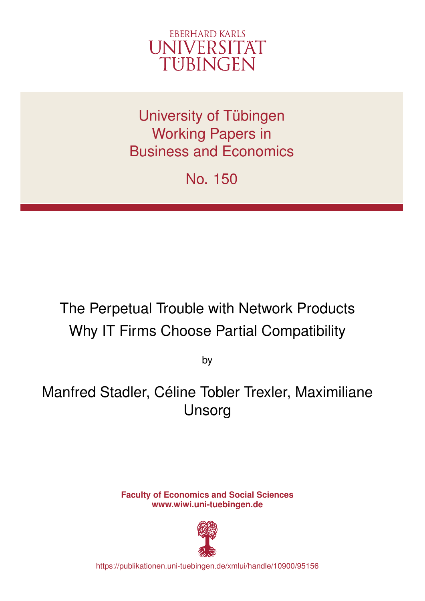

University of Tübingen Working Papers in Business and Economics

No. 150

# The Perpetual Trouble with Network Products Why IT Firms Choose Partial Compatibility

by

Manfred Stadler, Céline Tobler Trexler, Maximiliane Unsorg

> **Faculty of Economics and Social Sciences www.wiwi.uni-tuebingen.de**



https://publikationen.uni-tuebingen.de/xmlui/handle/10900/95156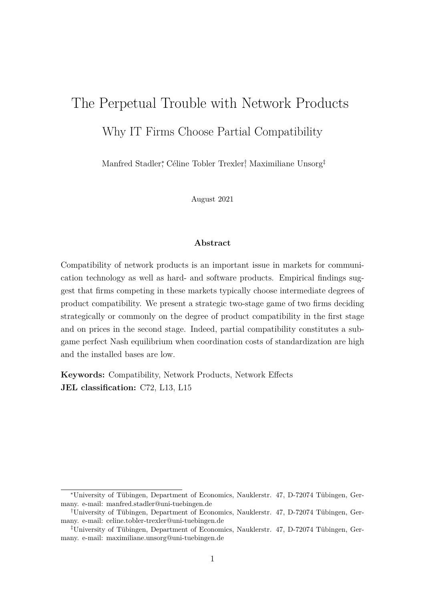# The Perpetual Trouble with Network Products Why IT Firms Choose Partial Compatibility

Manfred Stadler<sup>∗</sup> , Céline Tobler Trexler† , Maximiliane Unsorg‡

August 2021

#### **Abstract**

Compatibility of network products is an important issue in markets for communication technology as well as hard- and software products. Empirical findings suggest that firms competing in these markets typically choose intermediate degrees of product compatibility. We present a strategic two-stage game of two firms deciding strategically or commonly on the degree of product compatibility in the first stage and on prices in the second stage. Indeed, partial compatibility constitutes a subgame perfect Nash equilibrium when coordination costs of standardization are high and the installed bases are low.

**Keywords:** Compatibility, Network Products, Network Effects **JEL classification:** C72, L13, L15

<sup>∗</sup>University of Tübingen, Department of Economics, Nauklerstr. 47, D-72074 Tübingen, Germany. e-mail: manfred.stadler@uni-tuebingen.de

<sup>†</sup>University of Tübingen, Department of Economics, Nauklerstr. 47, D-72074 Tübingen, Germany. e-mail: celine.tobler-trexler@uni-tuebingen.de

<sup>‡</sup>University of Tübingen, Department of Economics, Nauklerstr. 47, D-72074 Tübingen, Germany. e-mail: maximiliane.unsorg@uni-tuebingen.de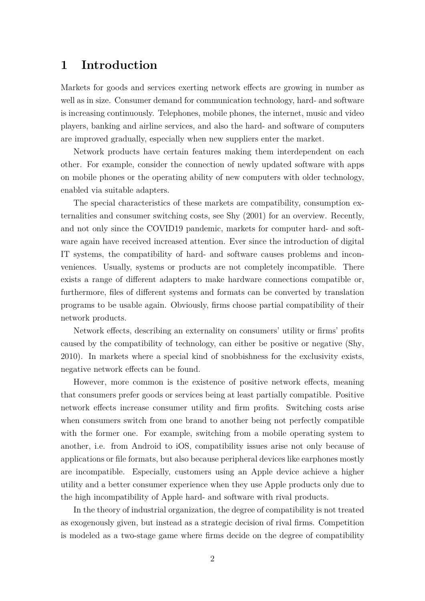#### **1 Introduction**

Markets for goods and services exerting network effects are growing in number as well as in size. Consumer demand for communication technology, hard- and software is increasing continuously. Telephones, mobile phones, the internet, music and video players, banking and airline services, and also the hard- and software of computers are improved gradually, especially when new suppliers enter the market.

Network products have certain features making them interdependent on each other. For example, consider the connection of newly updated software with apps on mobile phones or the operating ability of new computers with older technology, enabled via suitable adapters.

The special characteristics of these markets are compatibility, consumption externalities and consumer switching costs, see [Shy](#page-15-0) ([2001](#page-15-0)) for an overview. Recently, and not only since the COVID19 pandemic, markets for computer hard- and software again have received increased attention. Ever since the introduction of digital IT systems, the compatibility of hard- and software causes problems and inconveniences. Usually, systems or products are not completely incompatible. There exists a range of different adapters to make hardware connections compatible or, furthermore, files of different systems and formats can be converted by translation programs to be usable again. Obviously, firms choose partial compatibility of their network products.

Network effects, describing an externality on consumers' utility or firms' profits caused by the compatibility of technology, can either be positive or negative ([Shy,](#page-15-1) [2010](#page-15-1)). In markets where a special kind of snobbishness for the exclusivity exists, negative network effects can be found.

However, more common is the existence of positive network effects, meaning that consumers prefer goods or services being at least partially compatible. Positive network effects increase consumer utility and firm profits. Switching costs arise when consumers switch from one brand to another being not perfectly compatible with the former one. For example, switching from a mobile operating system to another, i.e. from Android to iOS, compatibility issues arise not only because of applications or file formats, but also because peripheral devices like earphones mostly are incompatible. Especially, customers using an Apple device achieve a higher utility and a better consumer experience when they use Apple products only due to the high incompatibility of Apple hard- and software with rival products.

In the theory of industrial organization, the degree of compatibility is not treated as exogenously given, but instead as a strategic decision of rival firms. Competition is modeled as a two-stage game where firms decide on the degree of compatibility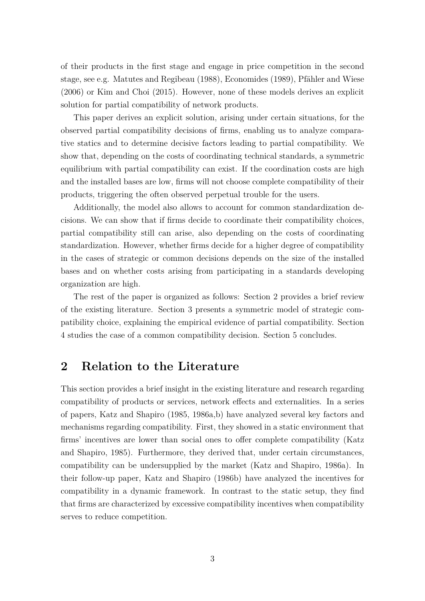of their products in the first stage and engage in price competition in the second stage, see e.g. [Matutes and Regibeau](#page-15-2) [\(1988\)](#page-15-2), [Economides](#page-15-3) [\(1989\)](#page-15-3), [Pfähler and Wiese](#page-15-4) ([2006](#page-15-4)) or [Kim and Choi](#page-15-5) [\(2015](#page-15-5)). However, none of these models derives an explicit solution for partial compatibility of network products.

This paper derives an explicit solution, arising under certain situations, for the observed partial compatibility decisions of firms, enabling us to analyze comparative statics and to determine decisive factors leading to partial compatibility. We show that, depending on the costs of coordinating technical standards, a symmetric equilibrium with partial compatibility can exist. If the coordination costs are high and the installed bases are low, firms will not choose complete compatibility of their products, triggering the often observed perpetual trouble for the users.

Additionally, the model also allows to account for common standardization decisions. We can show that if firms decide to coordinate their compatibility choices, partial compatibility still can arise, also depending on the costs of coordinating standardization. However, whether firms decide for a higher degree of compatibility in the cases of strategic or common decisions depends on the size of the installed bases and on whether costs arising from participating in a standards developing organization are high.

The rest of the paper is organized as follows: Section [2](#page-3-0) provides a brief review of the existing literature. Section [3](#page-5-0) presents a symmetric model of strategic compatibility choice, explaining the empirical evidence of partial compatibility. Section [4](#page-10-0) studies the case of a common compatibility decision. Section [5](#page-13-0) concludes.

## <span id="page-3-0"></span>**2 Relation to the Literature**

This section provides a brief insight in the existing literature and research regarding compatibility of products or services, network effects and externalities. In a series of papers, [Katz and Shapiro](#page-15-6) ([1985](#page-15-6), [1986a](#page-15-7)[,b\)](#page-15-8) have analyzed several key factors and mechanisms regarding compatibility. First, they showed in a static environment that firms' incentives are lower than social ones to offer complete compatibility ([Katz](#page-15-6) [and Shapiro](#page-15-6), [1985\)](#page-15-6). Furthermore, they derived that, under certain circumstances, compatibility can be undersupplied by the market [\(Katz and Shapiro](#page-15-7), [1986a](#page-15-7)). In their follow-up paper, [Katz and Shapiro](#page-15-8) [\(1986b](#page-15-8)) have analyzed the incentives for compatibility in a dynamic framework. In contrast to the static setup, they find that firms are characterized by excessive compatibility incentives when compatibility serves to reduce competition.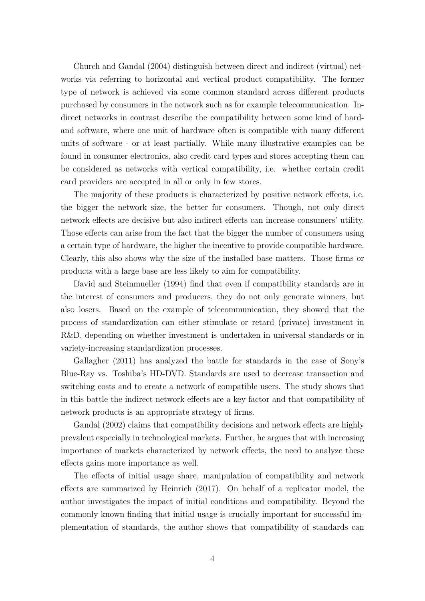[Church and Gandal](#page-15-9) ([2004](#page-15-9)) distinguish between direct and indirect (virtual) networks via referring to horizontal and vertical product compatibility. The former type of network is achieved via some common standard across different products purchased by consumers in the network such as for example telecommunication. Indirect networks in contrast describe the compatibility between some kind of hardand software, where one unit of hardware often is compatible with many different units of software - or at least partially. While many illustrative examples can be found in consumer electronics, also credit card types and stores accepting them can be considered as networks with vertical compatibility, i.e. whether certain credit card providers are accepted in all or only in few stores.

The majority of these products is characterized by positive network effects, i.e. the bigger the network size, the better for consumers. Though, not only direct network effects are decisive but also indirect effects can increase consumers' utility. Those effects can arise from the fact that the bigger the number of consumers using a certain type of hardware, the higher the incentive to provide compatible hardware. Clearly, this also shows why the size of the installed base matters. Those firms or products with a large base are less likely to aim for compatibility.

[David and Steinmueller](#page-15-10) ([1994\)](#page-15-10) find that even if compatibility standards are in the interest of consumers and producers, they do not only generate winners, but also losers. Based on the example of telecommunication, they showed that the process of standardization can either stimulate or retard (private) investment in R&D, depending on whether investment is undertaken in universal standards or in variety-increasing standardization processes.

[Gallagher](#page-15-11) [\(2011\)](#page-15-11) has analyzed the battle for standards in the case of Sony's Blue-Ray vs. Toshiba's HD-DVD. Standards are used to decrease transaction and switching costs and to create a network of compatible users. The study shows that in this battle the indirect network effects are a key factor and that compatibility of network products is an appropriate strategy of firms.

[Gandal](#page-15-12) ([2002](#page-15-12)) claims that compatibility decisions and network effects are highly prevalent especially in technological markets. Further, he argues that with increasing importance of markets characterized by network effects, the need to analyze these effects gains more importance as well.

The effects of initial usage share, manipulation of compatibility and network effects are summarized by [Heinrich](#page-15-13) ([2017\)](#page-15-13). On behalf of a replicator model, the author investigates the impact of initial conditions and compatibility. Beyond the commonly known finding that initial usage is crucially important for successful implementation of standards, the author shows that compatibility of standards can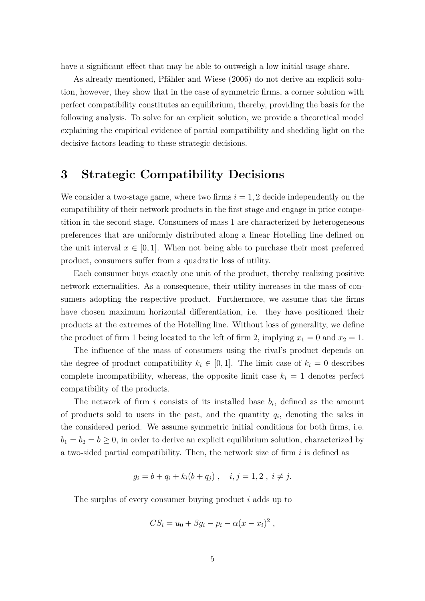have a significant effect that may be able to outweigh a low initial usage share.

As already mentioned, [Pfähler and Wiese](#page-15-4) ([2006](#page-15-4)) do not derive an explicit solution, however, they show that in the case of symmetric firms, a corner solution with perfect compatibility constitutes an equilibrium, thereby, providing the basis for the following analysis. To solve for an explicit solution, we provide a theoretical model explaining the empirical evidence of partial compatibility and shedding light on the decisive factors leading to these strategic decisions.

## <span id="page-5-0"></span>**3 Strategic Compatibility Decisions**

We consider a two-stage game, where two firms  $i = 1, 2$  decide independently on the compatibility of their network products in the first stage and engage in price competition in the second stage. Consumers of mass 1 are characterized by heterogeneous preferences that are uniformly distributed along a linear Hotelling line defined on the unit interval  $x \in [0,1]$ . When not being able to purchase their most preferred product, consumers suffer from a quadratic loss of utility.

Each consumer buys exactly one unit of the product, thereby realizing positive network externalities. As a consequence, their utility increases in the mass of consumers adopting the respective product. Furthermore, we assume that the firms have chosen maximum horizontal differentiation, i.e. they have positioned their products at the extremes of the Hotelling line. Without loss of generality, we define the product of firm 1 being located to the left of firm 2, implying  $x_1 = 0$  and  $x_2 = 1$ .

The influence of the mass of consumers using the rival's product depends on the degree of product compatibility  $k_i \in [0,1]$ . The limit case of  $k_i = 0$  describes complete incompatibility, whereas, the opposite limit case  $k_i = 1$  denotes perfect compatibility of the products.

The network of firm  $i$  consists of its installed base  $b_i$ , defined as the amount of products sold to users in the past, and the quantity  $q_i$ , denoting the sales in the considered period. We assume symmetric initial conditions for both firms, i.e.  $b_1 = b_2 = b \geq 0$ , in order to derive an explicit equilibrium solution, characterized by a two-sided partial compatibility. Then, the network size of firm *i* is defined as

$$
g_i = b + q_i + k_i(b + q_j) , \quad i, j = 1, 2 , i \neq j.
$$

The surplus of every consumer buying product *i* adds up to

$$
CS_i = u_0 + \beta g_i - p_i - \alpha (x - x_i)^2,
$$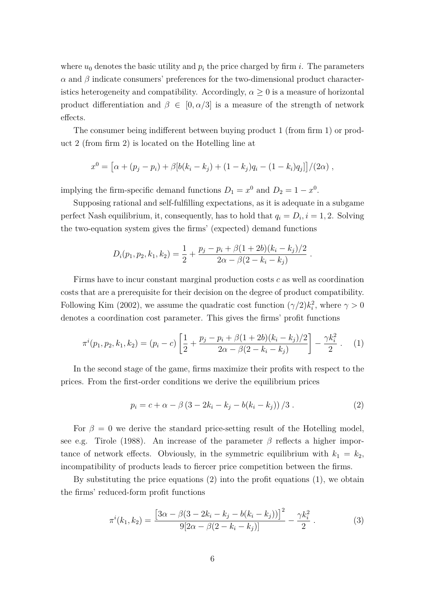where  $u_0$  denotes the basic utility and  $p_i$  the price charged by firm *i*. The parameters  $\alpha$  and  $\beta$  indicate consumers' preferences for the two-dimensional product characteristics heterogeneity and compatibility. Accordingly,  $\alpha \geq 0$  is a measure of horizontal product differentiation and  $\beta \in [0, \alpha/3]$  is a measure of the strength of network effects.

The consumer being indifferent between buying product 1 (from firm 1) or product 2 (from firm 2) is located on the Hotelling line at

$$
x^{0} = [\alpha + (p_{j} - p_{i}) + \beta [b(k_{i} - k_{j}) + (1 - k_{j})q_{i} - (1 - k_{i})q_{j}]/(2\alpha),
$$

implying the firm-specific demand functions  $D_1 = x^0$  and  $D_2 = 1 - x^0$ .

Supposing rational and self-fulfilling expectations, as it is adequate in a subgame perfect Nash equilibrium, it, consequently, has to hold that  $q_i = D_i$ ,  $i = 1, 2$ . Solving the two-equation system gives the firms' (expected) demand functions

$$
D_i(p_1, p_2, k_1, k_2) = \frac{1}{2} + \frac{p_j - p_i + \beta(1 + 2b)(k_i - k_j)/2}{2\alpha - \beta(2 - k_i - k_j)}.
$$

Firms have to incur constant marginal production costs *c* as well as coordination costs that are a prerequisite for their decision on the degree of product compatibility. Following [Kim](#page-15-14) ([2002](#page-15-14)), we assume the quadratic cost function  $(\gamma/2)k_i^2$ , where  $\gamma > 0$ denotes a coordination cost parameter. This gives the firms' profit functions

$$
\pi^{i}(p_1, p_2, k_1, k_2) = (p_i - c) \left[ \frac{1}{2} + \frac{p_j - p_i + \beta(1 + 2b)(k_i - k_j)/2}{2\alpha - \beta(2 - k_i - k_j)} \right] - \frac{\gamma k_i^2}{2} \,. \tag{1}
$$

In the second stage of the game, firms maximize their profits with respect to the prices. From the first-order conditions we derive the equilibrium prices

$$
p_i = c + \alpha - \beta (3 - 2k_i - k_j - b(k_i - k_j)) / 3.
$$
 (2)

For  $\beta = 0$  we derive the standard price-setting result of the Hotelling model, see e.g. [Tirole](#page-15-15) ([1988](#page-15-15)). An increase of the parameter *β* reflects a higher importance of network effects. Obviously, in the symmetric equilibrium with  $k_1 = k_2$ , incompatibility of products leads to fiercer price competition between the firms.

By substituting the price equations (2) into the profit equations (1), we obtain the firms' reduced-form profit functions

$$
\pi^{i}(k_{1},k_{2}) = \frac{\left[3\alpha - \beta(3 - 2k_{i} - k_{j} - b(k_{i} - k_{j}))\right]^{2}}{9[2\alpha - \beta(2 - k_{i} - k_{j})]} - \frac{\gamma k_{i}^{2}}{2}.
$$
\n(3)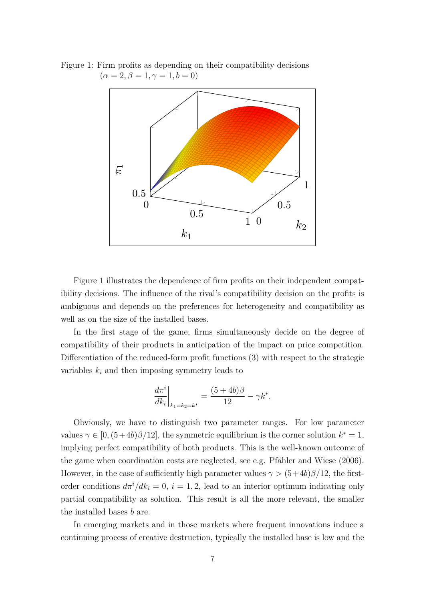<span id="page-7-0"></span>Figure 1: Firm profits as depending on their compatibility decisions  $(\alpha = 2, \beta = 1, \gamma = 1, b = 0)$ 



Figure [1](#page-7-0) illustrates the dependence of firm profits on their independent compatibility decisions. The influence of the rival's compatibility decision on the profits is ambiguous and depends on the preferences for heterogeneity and compatibility as well as on the size of the installed bases.

In the first stage of the game, firms simultaneously decide on the degree of compatibility of their products in anticipation of the impact on price competition. Differentiation of the reduced-form profit functions (3) with respect to the strategic variables  $k_i$  and then imposing symmetry leads to

$$
\left. \frac{d \pi^i}{d k_i} \right|_{k_1 = k_2 = k^*} = \frac{(5 + 4b)\beta}{12} - \gamma k^*.
$$

Obviously, we have to distinguish two parameter ranges. For low parameter values  $\gamma \in [0, (5+4b)\beta/12]$ , the symmetric equilibrium is the corner solution  $k^* = 1$ , implying perfect compatibility of both products. This is the well-known outcome of the game when coordination costs are neglected, see e.g. [Pfähler and Wiese](#page-15-4) [\(2006](#page-15-4)). However, in the case of sufficiently high parameter values  $\gamma > (5+4b)\beta/12$ , the firstorder conditions  $d\pi^{i}/dk_{i} = 0$ ,  $i = 1, 2$ , lead to an interior optimum indicating only partial compatibility as solution. This result is all the more relevant, the smaller the installed bases *b* are.

In emerging markets and in those markets where frequent innovations induce a continuing process of creative destruction, typically the installed base is low and the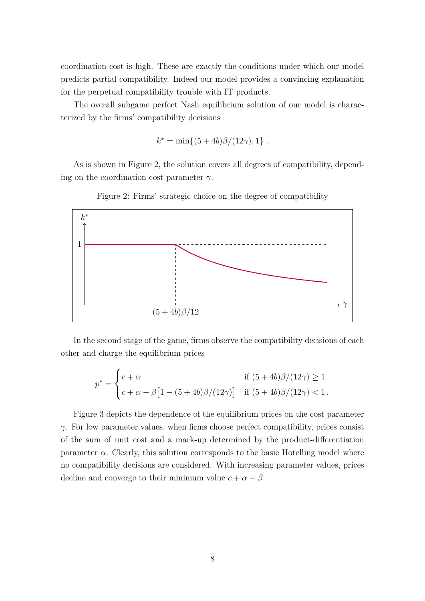coordination cost is high. These are exactly the conditions under which our model predicts partial compatibility. Indeed our model provides a convincing explanation for the perpetual compatibility trouble with IT products.

The overall subgame perfect Nash equilibrium solution of our model is characterized by the firms' compatibility decisions

$$
k^* = \min\{(5+4b)\beta/(12\gamma), 1\}.
$$

As is shown in Figure [2,](#page-8-0) the solution covers all degrees of compatibility, depending on the coordination cost parameter *γ*.

<span id="page-8-0"></span>

Figure 2: Firms' strategic choice on the degree of compatibility

In the second stage of the game, firms observe the compatibility decisions of each other and charge the equilibrium prices

$$
p^* = \begin{cases} c + \alpha & \text{if } (5 + 4b)\beta/(12\gamma) \ge 1\\ c + \alpha - \beta \left[1 - (5 + 4b)\beta/(12\gamma)\right] & \text{if } (5 + 4b)\beta/(12\gamma) < 1 \,. \end{cases}
$$

Figure [3](#page-9-0) depicts the dependence of the equilibrium prices on the cost parameter *γ*. For low parameter values, when firms choose perfect compatibility, prices consist of the sum of unit cost and a mark-up determined by the product-differentiation parameter  $\alpha$ . Clearly, this solution corresponds to the basic Hotelling model where no compatibility decisions are considered. With increasing parameter values, prices decline and converge to their minimum value  $c + \alpha - \beta$ .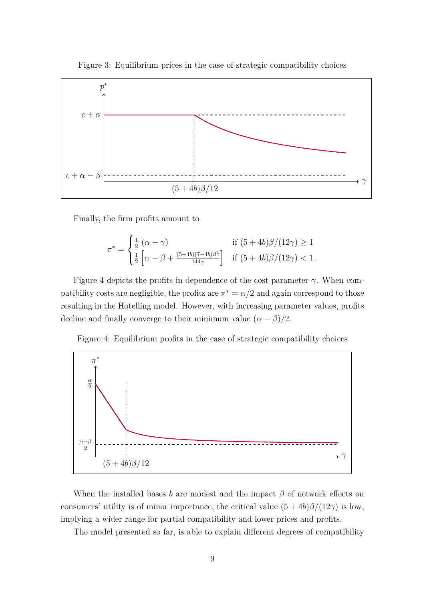Figure 3: Equilibrium prices in the case of strategic compatibility choices

<span id="page-9-0"></span>

Finally, the firm profits amount to

$$
\pi^* = \begin{cases} \frac{1}{2} \left( \alpha - \gamma \right) & \text{if } (5+4b)\beta/(12\gamma) \ge 1\\ \frac{1}{2} \left[ \alpha - \beta + \frac{(5+4b)(7-4b)\beta^2}{144\gamma} \right] & \text{if } (5+4b)\beta/(12\gamma) < 1 \,. \end{cases}
$$

Figure [4](#page-9-1) depicts the profits in dependence of the cost parameter  $\gamma$ . When compatibility costs are negligible, the profits are  $\pi^* = \alpha/2$  and again correspond to those resulting in the Hotelling model. However, with increasing parameter values, profits decline and finally converge to their minimum value  $(\alpha - \beta)/2$ .

Figure 4: Equilibrium profits in the case of strategic compatibility choices

<span id="page-9-1"></span>

When the installed bases *b* are modest and the impact  $\beta$  of network effects on consumers' utility is of minor importance, the critical value  $(5 + 4b)\beta/(12\gamma)$  is low, implying a wider range for partial compatibility and lower prices and profits.

The model presented so far, is able to explain different degrees of compatibility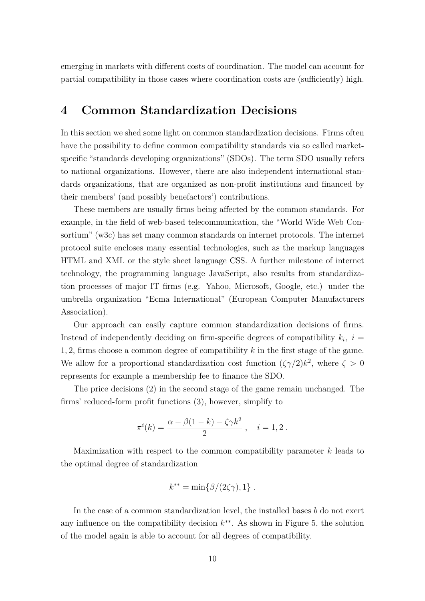emerging in markets with different costs of coordination. The model can account for partial compatibility in those cases where coordination costs are (sufficiently) high.

## <span id="page-10-0"></span>**4 Common Standardization Decisions**

In this section we shed some light on common standardization decisions. Firms often have the possibility to define common compatibility standards via so called marketspecific "standards developing organizations" (SDOs). The term SDO usually refers to national organizations. However, there are also independent international standards organizations, that are organized as non-profit institutions and financed by their members' (and possibly benefactors') contributions.

These members are usually firms being affected by the common standards. For example, in the field of web-based telecommunication, the "World Wide Web Consortium" (w3c) has set many common standards on internet protocols. The internet protocol suite encloses many essential technologies, such as the markup languages HTML and XML or the style sheet language CSS. A further milestone of internet technology, the programming language JavaScript, also results from standardization processes of major IT firms (e.g. Yahoo, Microsoft, Google, etc.) under the umbrella organization "Ecma International" (European Computer Manufacturers Association).

Our approach can easily capture common standardization decisions of firms. Instead of independently deciding on firm-specific degrees of compatibility  $k_i$ ,  $i =$ 1*,* 2, firms choose a common degree of compatibility *k* in the first stage of the game. We allow for a proportional standardization cost function  $({\zeta \gamma}/2)k^2$ , where  $\zeta > 0$ represents for example a membership fee to finance the SDO.

The price decisions (2) in the second stage of the game remain unchanged. The firms' reduced-form profit functions (3), however, simplify to

$$
\pi^i(k) = \frac{\alpha - \beta(1 - k) - \zeta \gamma k^2}{2} , \quad i = 1, 2 .
$$

Maximization with respect to the common compatibility parameter *k* leads to the optimal degree of standardization

$$
k^{**} = \min\{\beta/(2\zeta\gamma), 1\}.
$$

In the case of a common standardization level, the installed bases *b* do not exert any influence on the compatibility decision *k ∗∗*. As shown in Figure [5](#page-11-0), the solution of the model again is able to account for all degrees of compatibility.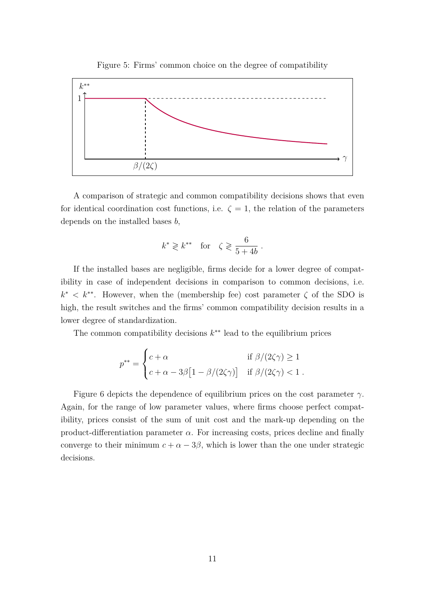<span id="page-11-0"></span>

Figure 5: Firms' common choice on the degree of compatibility

A comparison of strategic and common compatibility decisions shows that even for identical coordination cost functions, i.e.  $\zeta = 1$ , the relation of the parameters depends on the installed bases *b*,

$$
k^* \geqslant k^{**} \quad \text{for} \quad \zeta \geqslant \frac{6}{5+4b}
$$

*.*

If the installed bases are negligible, firms decide for a lower degree of compatibility in case of independent decisions in comparison to common decisions, i.e.  $k^*$  <  $k^{**}$ . However, when the (membership fee) cost parameter  $\zeta$  of the SDO is high, the result switches and the firms' common compatibility decision results in a lower degree of standardization.

The common compatibility decisions *k ∗∗* lead to the equilibrium prices

$$
p^{**} = \begin{cases} c + \alpha & \text{if } \beta/(2\zeta\gamma) \ge 1 \\ c + \alpha - 3\beta \big[1 - \beta/(2\zeta\gamma)\big] & \text{if } \beta/(2\zeta\gamma) < 1 \; . \end{cases}
$$

Figure [6](#page-12-0) depicts the dependence of equilibrium prices on the cost parameter *γ*. Again, for the range of low parameter values, where firms choose perfect compatibility, prices consist of the sum of unit cost and the mark-up depending on the product-differentiation parameter  $\alpha$ . For increasing costs, prices decline and finally converge to their minimum  $c + \alpha - 3\beta$ , which is lower than the one under strategic decisions.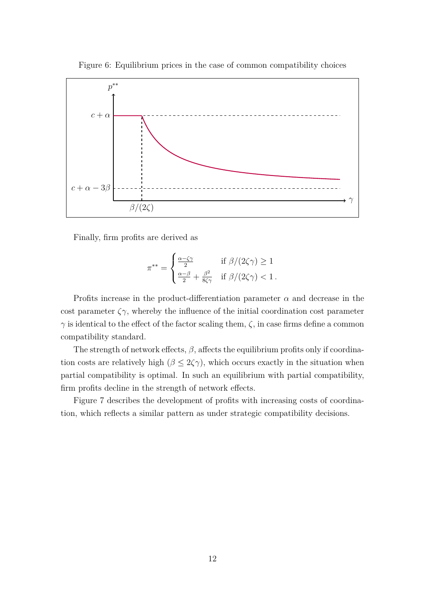<span id="page-12-0"></span>

Figure 6: Equilibrium prices in the case of common compatibility choices

Finally, firm profits are derived as

$$
\pi^{**} = \begin{cases} \frac{\alpha - \zeta \gamma}{2} & \text{if } \beta/(2\zeta \gamma) \ge 1\\ \frac{\alpha - \beta}{2} + \frac{\beta^2}{8\zeta \gamma} & \text{if } \beta/(2\zeta \gamma) < 1 \,. \end{cases}
$$

Profits increase in the product-differentiation parameter *α* and decrease in the cost parameter  $\zeta \gamma$ , whereby the influence of the initial coordination cost parameter *γ* is identical to the effect of the factor scaling them,  $\zeta$ , in case firms define a common compatibility standard.

The strength of network effects,  $\beta$ , affects the equilibrium profits only if coordination costs are relatively high ( $\beta \leq 2\zeta\gamma$ ), which occurs exactly in the situation when partial compatibility is optimal. In such an equilibrium with partial compatibility, firm profits decline in the strength of network effects.

Figure [7](#page-13-1) describes the development of profits with increasing costs of coordination, which reflects a similar pattern as under strategic compatibility decisions.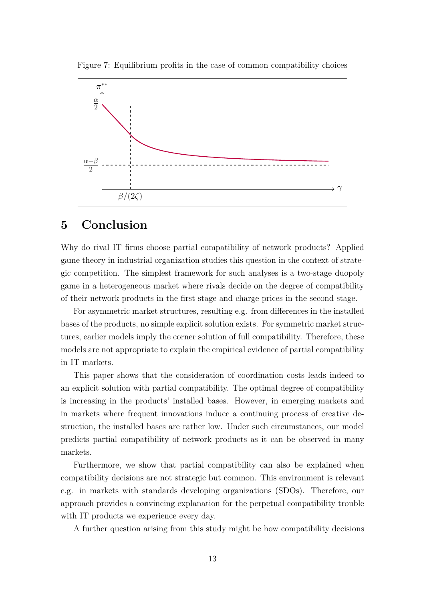Figure 7: Equilibrium profits in the case of common compatibility choices

<span id="page-13-1"></span>

#### <span id="page-13-0"></span>**5 Conclusion**

Why do rival IT firms choose partial compatibility of network products? Applied game theory in industrial organization studies this question in the context of strategic competition. The simplest framework for such analyses is a two-stage duopoly game in a heterogeneous market where rivals decide on the degree of compatibility of their network products in the first stage and charge prices in the second stage.

For asymmetric market structures, resulting e.g. from differences in the installed bases of the products, no simple explicit solution exists. For symmetric market structures, earlier models imply the corner solution of full compatibility. Therefore, these models are not appropriate to explain the empirical evidence of partial compatibility in IT markets.

This paper shows that the consideration of coordination costs leads indeed to an explicit solution with partial compatibility. The optimal degree of compatibility is increasing in the products' installed bases. However, in emerging markets and in markets where frequent innovations induce a continuing process of creative destruction, the installed bases are rather low. Under such circumstances, our model predicts partial compatibility of network products as it can be observed in many markets.

Furthermore, we show that partial compatibility can also be explained when compatibility decisions are not strategic but common. This environment is relevant e.g. in markets with standards developing organizations (SDOs). Therefore, our approach provides a convincing explanation for the perpetual compatibility trouble with IT products we experience every day.

A further question arising from this study might be how compatibility decisions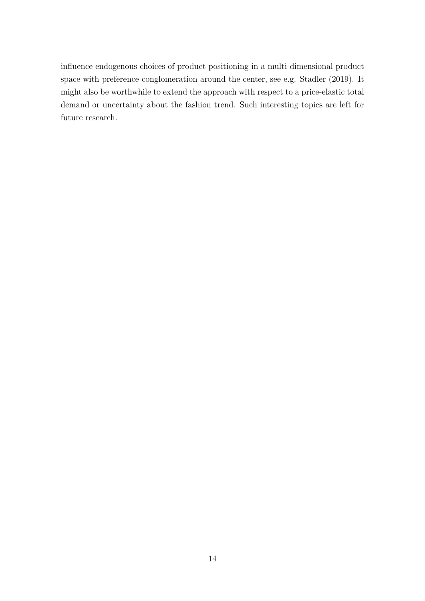influence endogenous choices of product positioning in a multi-dimensional product space with preference conglomeration around the center, see e.g. [Stadler](#page-15-16) [\(2019](#page-15-16)). It might also be worthwhile to extend the approach with respect to a price-elastic total demand or uncertainty about the fashion trend. Such interesting topics are left for future research.